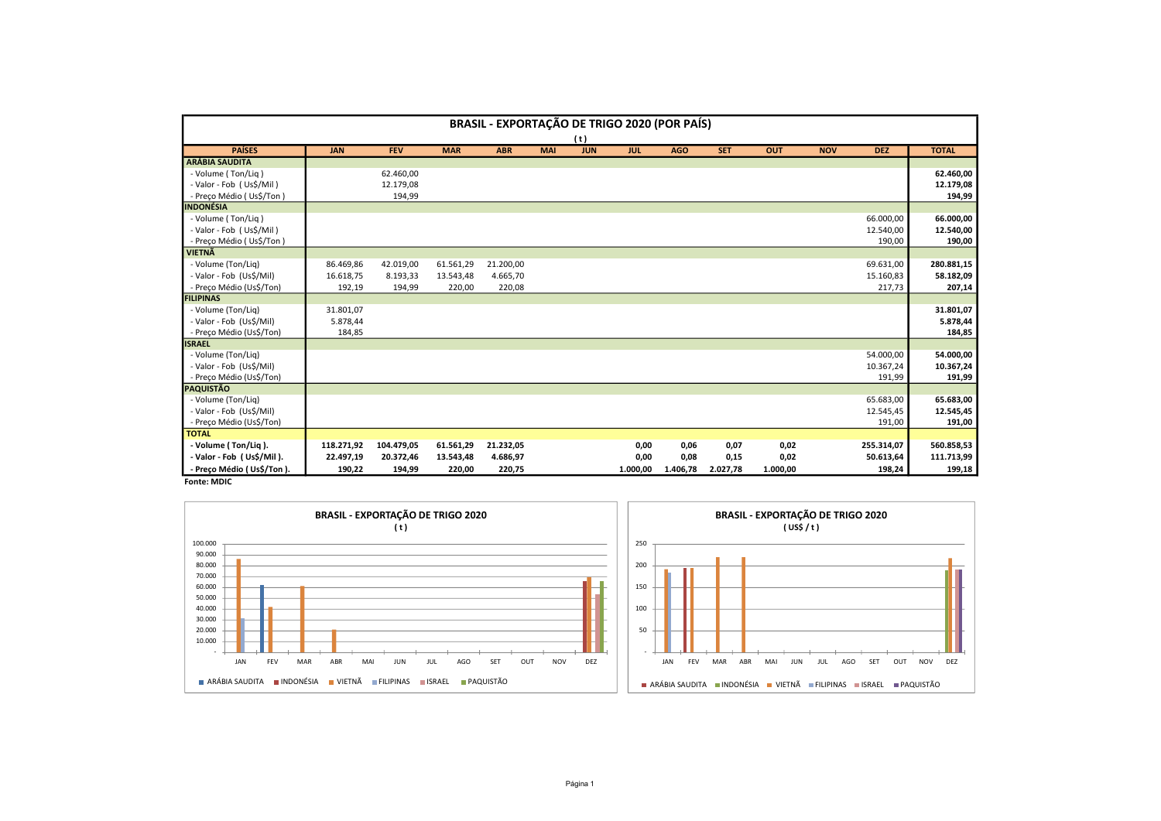| <b>BRASIL - EXPORTAÇÃO DE TRIGO 2020 (POR PAÍS)</b> |                       |            |            |            |            |                |                                                      |            |            |            |            |            |                       |  |
|-----------------------------------------------------|-----------------------|------------|------------|------------|------------|----------------|------------------------------------------------------|------------|------------|------------|------------|------------|-----------------------|--|
|                                                     |                       |            |            |            |            |                |                                                      |            |            |            |            |            |                       |  |
| <b>PAÍSES</b>                                       | <b>JAN</b>            | <b>FEV</b> | <b>MAR</b> | <b>ABR</b> | <b>MAI</b> | <b>JUN</b>     | <b>JUL</b>                                           | <b>AGO</b> | <b>SET</b> | <b>OUT</b> | <b>NOV</b> | <b>DEZ</b> | <b>TOTAL</b>          |  |
| <b>ARÁBIA SAUDITA</b>                               |                       |            |            |            |            |                |                                                      |            |            |            |            |            |                       |  |
| - Volume (Ton/Liq)                                  |                       | 62.460,00  |            |            |            |                |                                                      |            |            |            |            |            | 62.460,00             |  |
| - Valor - Fob (Us\$/Mil)                            |                       | 12.179,08  |            |            |            |                |                                                      |            |            |            |            |            | 12.179,08             |  |
| - Preço Médio (Us\$/Ton)                            |                       | 194,99     |            |            |            |                |                                                      |            |            |            |            |            | 194,99                |  |
| <b>INDONÉSIA</b>                                    |                       |            |            |            |            |                |                                                      |            |            |            |            |            |                       |  |
| - Volume (Ton/Liq)                                  |                       |            |            |            |            |                |                                                      |            |            |            |            | 66.000,00  | 66.000,00             |  |
| - Valor - Fob (Us\$/Mil)                            |                       |            |            |            |            |                |                                                      |            |            |            |            | 12.540,00  | 12.540,00             |  |
| - Preço Médio (Us\$/Ton)                            |                       |            |            |            |            |                |                                                      |            |            |            |            | 190,00     | 190,00                |  |
| <b>VIETNÃ</b>                                       |                       |            |            |            |            |                |                                                      |            |            |            |            |            |                       |  |
| - Volume (Ton/Liq)                                  | 86.469,86             | 42.019,00  | 61.561,29  | 21.200,00  |            |                |                                                      |            |            |            |            | 69.631,00  | 280.881,15            |  |
| - Valor - Fob (Us\$/Mil)                            | 16.618,75             | 8.193,33   | 13.543,48  | 4.665,70   |            |                |                                                      |            |            |            |            | 15.160,83  | 58.182,09             |  |
| - Preço Médio (Us\$/Ton)                            | 192,19                | 194,99     | 220,00     | 220,08     |            |                |                                                      |            |            |            |            | 217,73     | 207,14                |  |
| <b>FILIPINAS</b>                                    |                       |            |            |            |            |                |                                                      |            |            |            |            |            |                       |  |
| - Volume (Ton/Lig)<br>- Valor - Fob (Us\$/Mil)      | 31.801,07<br>5.878,44 |            |            |            |            |                |                                                      |            |            |            |            |            | 31.801,07<br>5.878,44 |  |
| - Preço Médio (Us\$/Ton)                            | 184,85                |            |            |            |            |                |                                                      |            |            |            |            |            | 184,85                |  |
| <b>ISRAEL</b>                                       |                       |            |            |            |            |                |                                                      |            |            |            |            |            |                       |  |
| - Volume (Ton/Liq)                                  |                       |            |            |            |            |                |                                                      |            |            |            |            | 54.000,00  | 54.000,00             |  |
| - Valor - Fob (Us\$/Mil)                            |                       |            |            |            |            |                |                                                      |            |            |            |            | 10.367,24  | 10.367,24             |  |
| - Preço Médio (Us\$/Ton)                            |                       |            |            |            |            |                |                                                      |            |            |            |            | 191,99     | 191,99                |  |
| <b>PAQUISTÃO</b>                                    |                       |            |            |            |            |                |                                                      |            |            |            |            |            |                       |  |
| - Volume (Ton/Liq)                                  |                       |            |            |            |            |                |                                                      |            |            |            |            | 65.683,00  | 65.683,00             |  |
| - Valor - Fob (Us\$/Mil)                            |                       |            |            |            |            |                |                                                      |            |            |            |            | 12.545,45  | 12.545,45             |  |
| - Preço Médio (Us\$/Ton)                            |                       |            |            |            |            |                |                                                      |            |            |            |            | 191,00     | 191,00                |  |
| <b>TOTAL</b>                                        |                       |            |            |            |            |                |                                                      |            |            |            |            |            |                       |  |
| - Volume (Ton/Liq).                                 | 118.271,92            | 104.479,05 | 61.561,29  | 21.232,05  |            |                | 0,00                                                 | 0,06       | 0,07       | 0,02       |            | 255.314,07 | 560.858,53            |  |
| - Valor - Fob (Us\$/Mil).                           | 22.497,19             | 20.372,46  | 13.543,48  | 4.686,97   |            |                | 0,00                                                 | 0,08       | 0,15       | 0,02       |            | 50.613,64  | 111.713,99            |  |
| - Preço Médio (Us\$/Ton).                           | 190,22                | 194,99     | 220,00     | 220,75     |            |                | 1.000,00                                             | 1.406,78   | 2.027,78   | 1.000,00   |            | 198,24     | 199,18                |  |
| <b>Fonte: MDIC</b>                                  |                       |            |            |            |            |                |                                                      |            |            |            |            |            |                       |  |
| <b>BRASIL - EXPORTAÇÃO DE TRIGO 2020</b>            |                       |            |            |            |            |                | <b>BRASIL - EXPORTAÇÃO DE TRIGO 2020</b><br>(US\$/t) |            |            |            |            |            |                       |  |
|                                                     |                       | (t)        |            |            |            |                |                                                      |            |            |            |            |            |                       |  |
| 100.000                                             |                       |            |            |            |            |                | 250                                                  |            |            |            |            |            |                       |  |
| 90.000                                              |                       |            |            |            |            |                |                                                      |            |            |            |            |            |                       |  |
| 80.000                                              |                       |            |            |            |            |                | 200                                                  |            |            |            |            |            |                       |  |
| 70.000                                              |                       |            |            |            |            |                |                                                      |            |            |            |            |            |                       |  |
| 60.000                                              |                       |            |            |            |            | $\blacksquare$ | 150                                                  |            |            |            |            |            |                       |  |
| 50.000                                              |                       |            |            |            |            |                |                                                      |            |            |            |            |            |                       |  |
| 40.000                                              |                       |            |            |            |            |                | 100                                                  |            |            |            |            |            |                       |  |

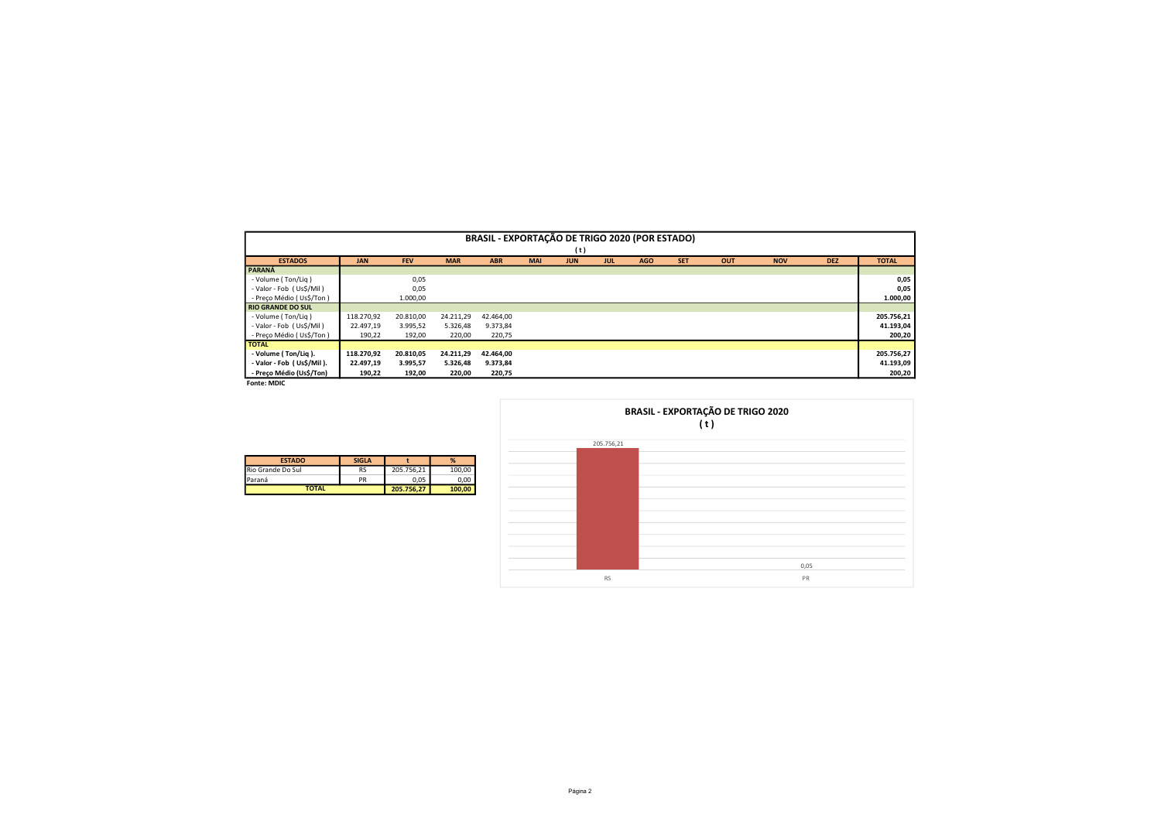|                                                       |                     |                    |                    | BRASIL - EXPORTAÇÃO DE TRIGO 2020 (POR ESTADO) |            |            |            |            |            |                                          |            |            |                     |
|-------------------------------------------------------|---------------------|--------------------|--------------------|------------------------------------------------|------------|------------|------------|------------|------------|------------------------------------------|------------|------------|---------------------|
|                                                       |                     |                    |                    |                                                |            | (t)        |            |            |            |                                          |            |            |                     |
| <b>ESTADOS</b>                                        | <b>JAN</b>          | FEV                | <b>MAR</b>         | ABR                                            | <b>MAI</b> | <b>JUN</b> | JUL        | <b>AGO</b> | <b>SET</b> | OUT                                      | <b>NOV</b> | <b>DEZ</b> | <b>TOTAL</b>        |
| PARANÁ                                                |                     |                    |                    |                                                |            |            |            |            |            |                                          |            |            |                     |
| - Volume (Ton/Liq)<br>- Valor - Fob (Us\$/Mil)        |                     | 0,05               |                    |                                                |            |            |            |            |            |                                          |            |            | 0,05<br>0,05        |
| - Preço Médio (Us\$/Ton)                              |                     | 0,05<br>1.000,00   |                    |                                                |            |            |            |            |            |                                          |            |            | 1.000,00            |
| <b>RIO GRANDE DO SUL</b>                              |                     |                    |                    |                                                |            |            |            |            |            |                                          |            |            |                     |
| - Volume (Ton/Liq)                                    | 118.270,92          | 20.810,00          | 24.211,29          | 42.464,00                                      |            |            |            |            |            |                                          |            |            | 205.756,21          |
| - Valor - Fob (Us\$/Mil)<br>- Preço Médio (Us\$/Ton)  | 22.497,19<br>190,22 | 3.995,52<br>192,00 | 5.326,48<br>220,00 | 9.373,84<br>220,75                             |            |            |            |            |            |                                          |            |            | 41.193,04<br>200,20 |
| <b>TOTAL</b>                                          |                     |                    |                    |                                                |            |            |            |            |            |                                          |            |            |                     |
| - Volume (Ton/Liq).                                   | 118.270,92          | 20.810,05          | 24.211,29          | 42.464,00                                      |            |            |            |            |            |                                          |            |            | 205.756,27          |
| - Valor - Fob (Us\$/Mil).<br>- Preço Médio (Us\$/Ton) | 22.497,19           | 3.995,57           | 5.326,48           | 9.373,84                                       |            |            |            |            |            |                                          |            |            | 41.193,09           |
|                                                       | 190,22              | 192,00             | 220,00             | 220,75                                         |            |            |            |            |            |                                          |            |            | 200,20              |
|                                                       |                     |                    |                    |                                                |            |            |            |            |            |                                          |            |            |                     |
|                                                       |                     |                    |                    |                                                |            |            |            |            |            |                                          |            |            |                     |
|                                                       |                     |                    |                    |                                                |            |            |            |            |            |                                          |            |            |                     |
|                                                       |                     |                    |                    |                                                |            |            |            |            |            | <b>BRASIL - EXPORTAÇÃO DE TRIGO 2020</b> |            |            |                     |
|                                                       |                     |                    |                    |                                                |            |            |            |            |            | (t)                                      |            |            |                     |
| Fonte: MDIC                                           |                     |                    |                    |                                                |            |            | 205.756,21 |            |            |                                          |            |            |                     |
|                                                       |                     |                    |                    |                                                |            |            |            |            |            |                                          |            |            |                     |
| <b>ESTADO</b>                                         | <b>SIGLA</b>        | $\mathbf{t}$       | %                  |                                                |            |            |            |            |            |                                          |            |            |                     |
| Rio Grande Do Sul<br>Paraná                           | RS<br>PR            | 205.756,21<br>0,05 | 100,00<br>0,00     |                                                |            |            |            |            |            |                                          |            |            |                     |
| <b>TOTAL</b>                                          |                     | 205.756,27         | 100,00             |                                                |            |            |            |            |            |                                          |            |            |                     |
|                                                       |                     |                    |                    |                                                |            |            |            |            |            |                                          |            |            |                     |





| <b>ESTADO</b>     | <b>SIGLA</b> |            | %      |
|-------------------|--------------|------------|--------|
| Rio Grande Do Sul | RS           | 205.756.21 | 100.00 |
| Paraná            | PR           | 0.05       | 0.00   |
| <b>TOTAL</b>      |              | 205.756.27 | 100,00 |